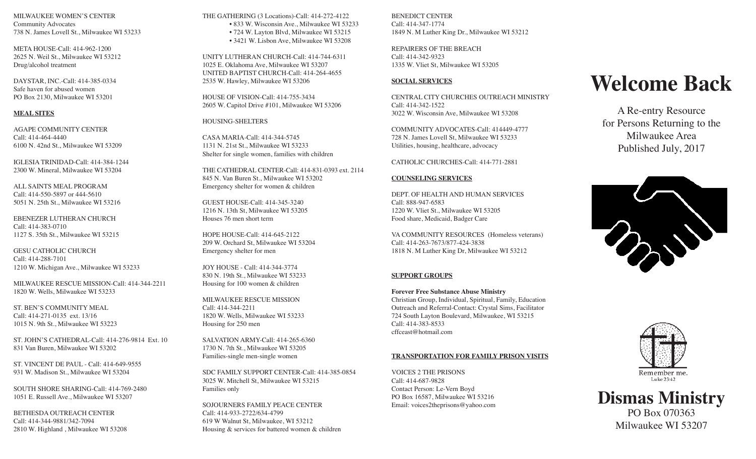MILWAUKEE WOMEN'S CENTER Community Advocates 738 N. James Lovell St., Milwaukee WI 53233

META HOUSE-Call: 414-962-1200 2625 N. Weil St., Milwaukee WI 53212 Drug/alcohol treatment

DAYSTAR, INC.-Call: 414-385-0334 Safe haven for abused women PO Box 2130, Milwaukee WI 53201

### **MEAL SITES**

AGAPE COMMUNITY CENTER Call: 414-464-4440 6100 N. 42nd St., Milwaukee WI 53209

IGLESIA TRINIDAD-Call: 414-384-1244 2300 W. Mineral, Milwaukee WI 53204

ALL SAINTS MEAL PROGRAM Call: 414-550-5897 or 444-5610 5051 N. 25th St., Milwaukee WI 53216

EBENEZER LUTHERAN CHURCH Call: 414-383-0710 1127 S. 35th St., Milwaukee WI 53215

GESU CATHOLIC CHURCH Call: 414-288-7101 1210 W. Michigan Ave., Milwaukee WI 53233

MILWAUKEE RESCUE MISSION-Call: 414-344-2211 1820 W. Wells, Milwaukee WI 53233

ST. BEN'S COMMUNITY MEAL Call: 414-271-0135 ext. 13/16 1015 N. 9th St., Milwaukee WI 53223

ST. JOHN'S CATHEDRAL-Call: 414-276-9814 Ext. 10 831 Van Buren, Milwaukee WI 53202

ST. VINCENT DE PAUL - Call: 414-649-9555 931 W. Madison St., Milwaukee WI 53204

SOUTH SHORE SHARING-Call: 414-769-2480 1051 E. Russell Ave., Milwaukee WI 53207

BETHESDA OUTREACH CENTER Call: 414-344-9881/342-7094 2810 W. Highland , Milwaukee WI 53208 THE GATHERING (3 Locations)-Call: 414-272-4122 • 833 W. Wisconsin Ave., Milwaukee WI 53233 • 724 W. Layton Blvd, Milwaukee WI 53215 • 3421 W. Lisbon Ave, Milwaukee WI 53208

UNITY LUTHERAN CHURCH-Call: 414-744-6311 1025 E. Oklahoma Ave, Milwaukee WI 53207 UNITED BAPTIST CHURCH-Call: 414-264-4655 2535 W. Hawley, Milwaukee WI 53206

HOUSE OF VISION-Call: 414-755-3434 2605 W. Capitol Drive #101, Milwaukee WI 53206

HOUSING-SHELTERS

CASA MARIA-Call: 414-344-5745 1131 N. 21st St., Milwaukee WI 53233 Shelter for single women, families with children

THE CATHEDRAL CENTER-Call: 414-831-0393 ext. 2114 845 N. Van Buren St., Milwaukee WI 53202 Emergency shelter for women & children

GUEST HOUSE-Call: 414-345-3240 1216 N. 13th St, Milwaukee WI 53205 Houses 76 men short term

HOPE HOUSE-Call: 414-645-2122 209 W. Orchard St, Milwaukee WI 53204 Emergency shelter for men

JOY HOUSE - Call: 414-344-3774 830 N. 19th St., Milwaukee WI 53233 Housing for 100 women & children

MILWAUKEE RESCUE MISSION Call: 414-344-2211 1820 W. Wells, Milwaukee WI 53233 Housing for 250 men

SALVATION ARMY-Call: 414-265-6360 1730 N. 7th St., Milwaukee WI 53205 Families-single men-single women

SDC FAMILY SUPPORT CENTER-Call: 414-385-0854 3025 W. Mitchell St, Milwaukee WI 53215 Families only

SOJOURNERS FAMILY PEACE CENTER Call: 414-933-2722/634-4799 619 W Walnut St, Milwaukee, WI 53212 Housing & services for battered women & children BENEDICT CENTER Call: 414-347-1774 1849 N. M Luther King Dr., Milwaukee WI 53212

REPAIRERS OF THE BREACH Call: 414-342-9323 1335 W. Vliet St, Milwaukee WI 53205

# **SOCIAL SERVICES**

CENTRAL CITY CHURCHES OUTREACH MINISTRY Call: 414-342-1522 3022 W. Wisconsin Ave, Milwaukee WI 53208

COMMUNITY ADVOCATES-Call: 414449-4777 728 N. James Lovell St, Milwaukee WI 53233 Utilities, housing, healthcare, advocacy

# CATHOLIC CHURCHES-Call: 414-771-2881

## **COUNSELING SERVICES**

DEPT. OF HEALTH AND HUMAN SERVICES Call: 888-947-6583 1220 W. Vliet St., Milwaukee WI 53205 Food share, Medicaid, Badger Care

VA COMMUNITY RESOURCES (Homeless veterans) Call: 414-263-7673/877-424-3838 1818 N. M Luther King Dr, Milwaukee WI 53212

# **SUPPORT GROUPS**

**Forever Free Substance Abuse Ministry**  Christian Group, Individual, Spiritual, Family, Education Outreach and Referral-Contact: Crystal Sims, Facilitator 724 South Layton Boulevard, Milwaukee, WI 53215 Call: 414-383-8533 cffceast@hotmail.com

## **TRANSPORTATION FOR FAMILY PRISON VISITS**

VOICES 2 THE PRISONS Call: 414-687-9828 Contact Person: Le-Vern Boyd PO Box 16587, Milwaukee WI 53216 Email: voices2theprisons@yahoo.com

# **Welcome Back**

A Re-entry Resource for Persons Returning to the Milwaukee Area Published July, 2017